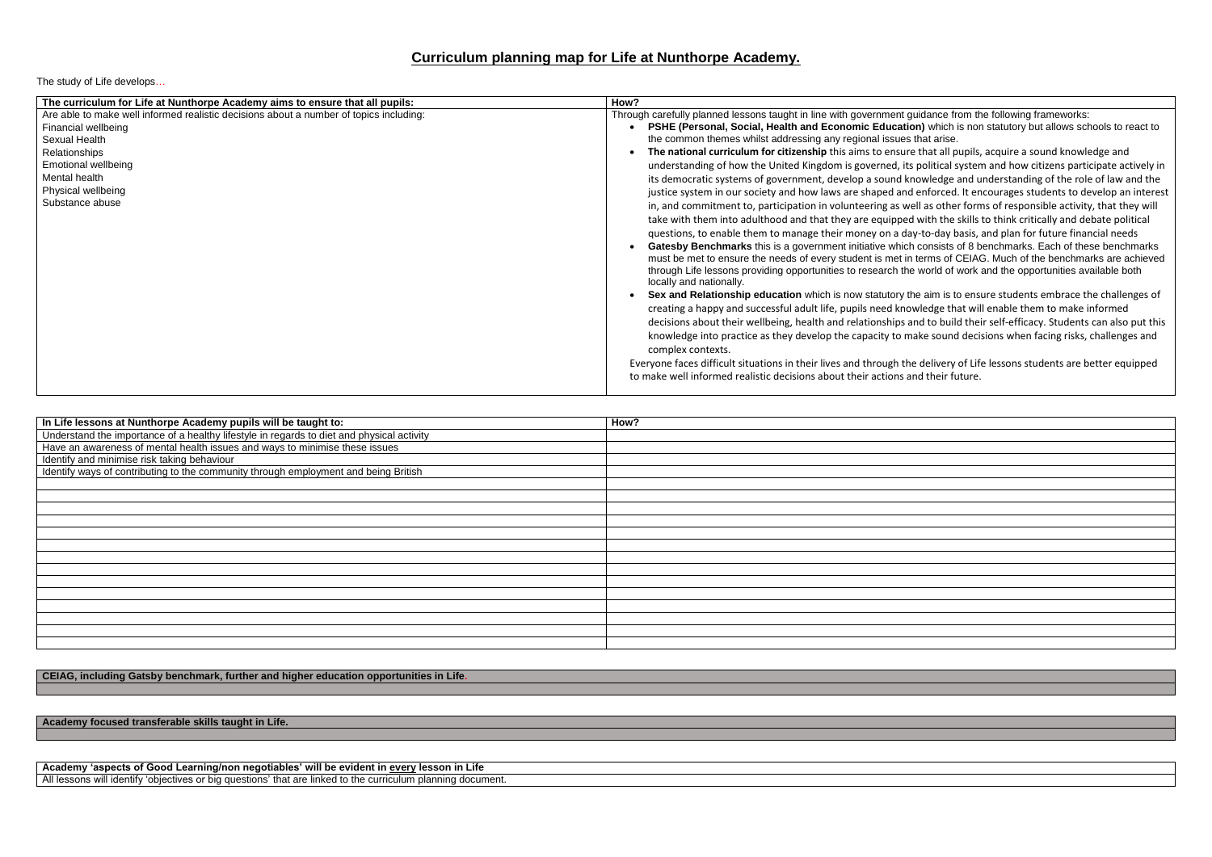## **Curriculum planning map for Life at Nunthorpe Academy.**

The study of Life develops…

 **Sex and Relationship education** which is now statutory the aim is to ensure students embrace the challenges of wledge that will enable them to make informed and to build their self-efficacy. Students can also put this hake sound decisions when facing risks, challenges and

e delivery of Life lessons students are better equipped nd their future.

| The curriculum for Life at Nunthorpe Academy aims to ensure that all pupils:           | How?                                                               |
|----------------------------------------------------------------------------------------|--------------------------------------------------------------------|
| Are able to make well informed realistic decisions about a number of topics including: | Through carefully planned lessons taught in line with government g |
| Financial wellbeing                                                                    | PSHE (Personal, Social, Health and Economic Education              |
| Sexual Health                                                                          | the common themes whilst addressing any regional issues            |
| Relationships                                                                          | The national curriculum for citizenship this aims to ensure        |
| <b>Emotional wellbeing</b>                                                             | understanding of how the United Kingdom is governed, its           |
| Mental health                                                                          | its democratic systems of government, develop a sound kr           |
| Physical wellbeing                                                                     | justice system in our society and how laws are shaped and          |
| Substance abuse                                                                        | in, and commitment to, participation in volunteering as we         |
|                                                                                        | take with them into adulthood and that they are equipped           |
|                                                                                        |                                                                    |
|                                                                                        | questions, to enable them to manage their money on a da            |
|                                                                                        | Gatesby Benchmarks this is a government initiative which           |
|                                                                                        | must be met to ensure the needs of every student is met in         |
|                                                                                        | through Life lessons providing opportunities to research the       |
|                                                                                        | locally and nationally.                                            |
|                                                                                        | Sex and Relationship education which is now statutory the          |
|                                                                                        | creating a happy and successful adult life, pupils need kno        |
|                                                                                        | decisions about their wellbeing, health and relationships a        |
|                                                                                        | knowledge into practice as they develop the capacity to m          |
|                                                                                        | complex contexts.                                                  |
|                                                                                        | Everyone faces difficult situations in their lives and through the |
|                                                                                        | to make well informed realistic decisions about their actions a    |
|                                                                                        |                                                                    |
|                                                                                        |                                                                    |

| In Life lessons at Nunthorpe Academy pupils will be taught to:                            | How? |
|-------------------------------------------------------------------------------------------|------|
| Understand the importance of a healthy lifestyle in regards to diet and physical activity |      |
| Have an awareness of mental health issues and ways to minimise these issues               |      |
| Identify and minimise risk taking behaviour                                               |      |
| Identify ways of contributing to the community through employment and being British       |      |
|                                                                                           |      |
|                                                                                           |      |
|                                                                                           |      |
|                                                                                           |      |
|                                                                                           |      |
|                                                                                           |      |
|                                                                                           |      |
|                                                                                           |      |
|                                                                                           |      |
|                                                                                           |      |
|                                                                                           |      |
|                                                                                           |      |
|                                                                                           |      |
|                                                                                           |      |

## **CEIAG, including Gatsby benchmark, further and higher education opportunities in Life.**

**Academy focused transferable skills taught in Life.**

**Academy 'aspects of Good Learning/non negotiables' will be evident in every lesson in Life** All lessons will identify 'objectives or big questions' that are linked to the curriculum planning document. quidance from the following frameworks: **Phenger (Personal is nonget and Equation**) which is non statutory but allows schools to react to that arise.

**E** that all pupils, acquire a sound knowledge and s political system and how citizens participate actively in nowledge and understanding of the role of law and the I enforced. It encourages students to develop an interest ell as other forms of responsible activity, that they will t with the skills to think critically and debate political ay-to-day basis, and plan for future financial needs **Gates** of 8 benchmarks. Each of these benchmarks terms of CEIAG. Much of the benchmarks are achieved e world of work and the opportunities available both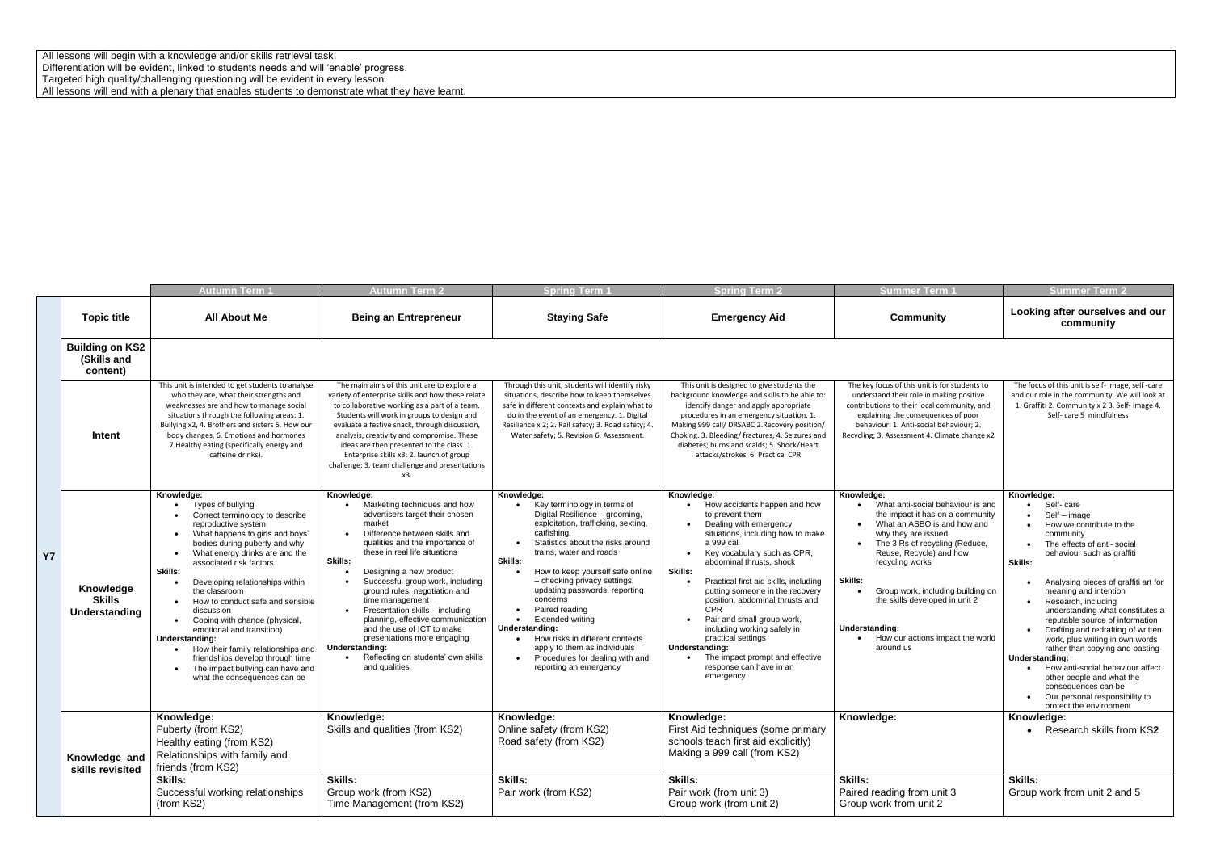All lessons will begin with a knowledge and/or skills retrieval task. Differentiation will be evident, linked to students needs and will 'enable' progress. Targeted high quality/challenging questioning will be evident in every lesson. All lessons will end with a plenary that enables students to demonstrate what they have learnt.

|           |                                                   | Autumn Term <sup>.</sup>                                                                                                                                                                                                                                                                                                                                                                                                                                                                                                                                                                                         | <b>Autumn Term 2</b>                                                                                                                                                                                                                                                                                                                                                                                                                                                                                                                     | <b>Spring Term</b>                                                                                                                                                                                                                                                                                                                                                                                                                                                                                                          | <b>Spring Term 2</b>                                                                                                                                                                                                                                                                                                                                                                                                                                                                                                          | <b>Summer Term</b>                                                                                                                                                                                                                                                                                                                                                             | <b>Summer Term 2</b>                                                                                                                                                                                                                                                                                                                                                                                                                                                                                                                                                                                                                |
|-----------|---------------------------------------------------|------------------------------------------------------------------------------------------------------------------------------------------------------------------------------------------------------------------------------------------------------------------------------------------------------------------------------------------------------------------------------------------------------------------------------------------------------------------------------------------------------------------------------------------------------------------------------------------------------------------|------------------------------------------------------------------------------------------------------------------------------------------------------------------------------------------------------------------------------------------------------------------------------------------------------------------------------------------------------------------------------------------------------------------------------------------------------------------------------------------------------------------------------------------|-----------------------------------------------------------------------------------------------------------------------------------------------------------------------------------------------------------------------------------------------------------------------------------------------------------------------------------------------------------------------------------------------------------------------------------------------------------------------------------------------------------------------------|-------------------------------------------------------------------------------------------------------------------------------------------------------------------------------------------------------------------------------------------------------------------------------------------------------------------------------------------------------------------------------------------------------------------------------------------------------------------------------------------------------------------------------|--------------------------------------------------------------------------------------------------------------------------------------------------------------------------------------------------------------------------------------------------------------------------------------------------------------------------------------------------------------------------------|-------------------------------------------------------------------------------------------------------------------------------------------------------------------------------------------------------------------------------------------------------------------------------------------------------------------------------------------------------------------------------------------------------------------------------------------------------------------------------------------------------------------------------------------------------------------------------------------------------------------------------------|
|           | <b>Topic title</b>                                | <b>All About Me</b>                                                                                                                                                                                                                                                                                                                                                                                                                                                                                                                                                                                              | <b>Being an Entrepreneur</b>                                                                                                                                                                                                                                                                                                                                                                                                                                                                                                             | <b>Staying Safe</b>                                                                                                                                                                                                                                                                                                                                                                                                                                                                                                         | <b>Emergency Aid</b>                                                                                                                                                                                                                                                                                                                                                                                                                                                                                                          | <b>Community</b>                                                                                                                                                                                                                                                                                                                                                               | Looking after ourselves and our<br>community                                                                                                                                                                                                                                                                                                                                                                                                                                                                                                                                                                                        |
|           | <b>Building on KS2</b><br>(Skills and<br>content) |                                                                                                                                                                                                                                                                                                                                                                                                                                                                                                                                                                                                                  |                                                                                                                                                                                                                                                                                                                                                                                                                                                                                                                                          |                                                                                                                                                                                                                                                                                                                                                                                                                                                                                                                             |                                                                                                                                                                                                                                                                                                                                                                                                                                                                                                                               |                                                                                                                                                                                                                                                                                                                                                                                |                                                                                                                                                                                                                                                                                                                                                                                                                                                                                                                                                                                                                                     |
|           | Intent                                            | This unit is intended to get students to analyse<br>who they are, what their strengths and<br>weaknesses are and how to manage social<br>situations through the following areas: 1.<br>Bullying x2, 4. Brothers and sisters 5. How our<br>body changes, 6. Emotions and hormones<br>7. Healthy eating (specifically energy and<br>caffeine drinks).                                                                                                                                                                                                                                                              | The main aims of this unit are to explore a<br>variety of enterprise skills and how these relate<br>to collaborative working as a part of a team.<br>Students will work in groups to design and<br>evaluate a festive snack, through discussion<br>analysis, creativity and compromise. These<br>ideas are then presented to the class. 1.<br>Enterprise skills x3; 2. launch of group<br>challenge; 3. team challenge and presentations<br>x3.                                                                                          | Through this unit, students will identify risky<br>situations, describe how to keep themselves<br>safe in different contexts and explain what to<br>do in the event of an emergency. 1. Digital<br>Resilience x 2; 2. Rail safety; 3. Road safety; 4.<br>Water safety; 5. Revision 6. Assessment.                                                                                                                                                                                                                           | This unit is designed to give students the<br>background knowledge and skills to be able to:<br>identify danger and apply appropriate<br>procedures in an emergency situation. 1.<br>Making 999 call/DRSABC 2. Recovery position/<br>Choking. 3. Bleeding/ fractures, 4. Seizures and<br>diabetes; burns and scalds; 5. Shock/Heart<br>attacks/strokes 6. Practical CPR                                                                                                                                                       | The key focus of this unit is for students to<br>understand their role in making positive<br>contributions to their local community, and<br>explaining the consequences of poor<br>behaviour. 1. Anti-social behaviour: 2.<br>Recycling; 3. Assessment 4. Climate change x2                                                                                                    | The focus of this unit is self- image, self-care<br>and our role in the community. We will look at<br>1. Graffiti 2. Community x 2 3. Self- image 4.<br>Self- care 5 mindfulness                                                                                                                                                                                                                                                                                                                                                                                                                                                    |
| <b>Y7</b> | Knowledge<br><b>Skills</b><br>Understanding       | Knowledge:<br>Types of bullying<br>Correct terminology to describe<br>reproductive system<br>What happens to girls and boys'<br>$\bullet$<br>bodies during puberty and why<br>What energy drinks are and the<br>$\bullet$<br>associated risk factors<br>Skills:<br>Developing relationships within<br>the classroom<br>How to conduct safe and sensible<br>$\bullet$<br>discussion<br>Coping with change (physical,<br>emotional and transition)<br>Understanding:<br>How their family relationships and<br>friendships develop through time<br>The impact bullying can have and<br>what the consequences can be | Knowledge:<br>Marketing techniques and how<br>advertisers target their chosen<br>market<br>Difference between skills and<br>qualities and the importance of<br>these in real life situations<br>Skills:<br>Designing a new product<br>Successful group work, including<br>ground rules, negotiation and<br>time management<br>Presentation skills - including<br>planning, effective communication<br>and the use of ICT to make<br>presentations more engaging<br>Understanding:<br>Reflecting on students' own skills<br>and qualities | Knowledge:<br>Key terminology in terms of<br>Digital Resilience - grooming,<br>exploitation, trafficking, sexting,<br>catfishing<br>Statistics about the risks around<br>trains, water and roads<br>Skills:<br>How to keep yourself safe online<br>- checking privacy settings,<br>updating passwords, reporting<br>concerns<br>Paired reading<br><b>Extended writing</b><br>Understanding:<br>How risks in different contexts<br>apply to them as individuals<br>Procedures for dealing with and<br>reporting an emergency | Knowledge:<br>How accidents happen and how<br>to prevent them<br>Dealing with emergency<br>situations, including how to make<br>a 999 call<br>Key vocabulary such as CPR,<br>abdominal thrusts, shock<br>Skills:<br>Practical first aid skills, including<br>putting someone in the recovery<br>position, abdominal thrusts and<br><b>CPR</b><br>Pair and small group work,<br>including working safely in<br>practical settings<br>Understanding:<br>The impact prompt and effective<br>response can have in an<br>emergency | Knowledge:<br>What anti-social behaviour is and<br>the impact it has on a community<br>What an ASBO is and how and<br>why they are issued<br>The 3 Rs of recycling (Reduce,<br>Reuse, Recycle) and how<br>recycling works<br>Skills:<br>Group work, including building on<br>the skills developed in unit 2<br>Understanding:<br>How our actions impact the world<br>around us | Knowledge:<br>Self-care<br>Self - image<br>How we contribute to the<br>community<br>The effects of anti-social<br>$\bullet$<br>behaviour such as graffiti<br>Skills:<br>Analysing pieces of graffiti art for<br>meaning and intention<br>Research, including<br>understanding what constitutes a<br>reputable source of information<br>Drafting and redrafting of written<br>work, plus writing in own words<br>rather than copying and pasting<br>Understanding:<br>How anti-social behaviour affect<br>other people and what the<br>consequences can be<br>Our personal responsibility to<br>$\bullet$<br>protect the environment |
|           | Knowledge and<br>skills revisited                 | Knowledge:<br>Puberty (from KS2)<br>Healthy eating (from KS2)<br>Relationships with family and<br>friends (from KS2)                                                                                                                                                                                                                                                                                                                                                                                                                                                                                             | Knowledge:<br>Skills and qualities (from KS2)                                                                                                                                                                                                                                                                                                                                                                                                                                                                                            | Knowledge:<br>Online safety (from KS2)<br>Road safety (from KS2)                                                                                                                                                                                                                                                                                                                                                                                                                                                            | Knowledge:<br>First Aid techniques (some primary<br>schools teach first aid explicitly)<br>Making a 999 call (from KS2)                                                                                                                                                                                                                                                                                                                                                                                                       | Knowledge:                                                                                                                                                                                                                                                                                                                                                                     | Knowledge:<br>Research skills from KS2<br>$\bullet$                                                                                                                                                                                                                                                                                                                                                                                                                                                                                                                                                                                 |
|           |                                                   | <b>Skills:</b><br>Successful working relationships<br>(from KS2)                                                                                                                                                                                                                                                                                                                                                                                                                                                                                                                                                 | <b>Skills:</b><br>Group work (from KS2)<br>Time Management (from KS2)                                                                                                                                                                                                                                                                                                                                                                                                                                                                    | <b>Skills:</b><br>Pair work (from KS2)                                                                                                                                                                                                                                                                                                                                                                                                                                                                                      | <b>Skills:</b><br>Pair work (from unit 3)<br>Group work (from unit 2)                                                                                                                                                                                                                                                                                                                                                                                                                                                         | <b>Skills:</b><br>Paired reading from unit 3<br>Group work from unit 2                                                                                                                                                                                                                                                                                                         | <b>Skills:</b><br>Group work from unit 2 and 5                                                                                                                                                                                                                                                                                                                                                                                                                                                                                                                                                                                      |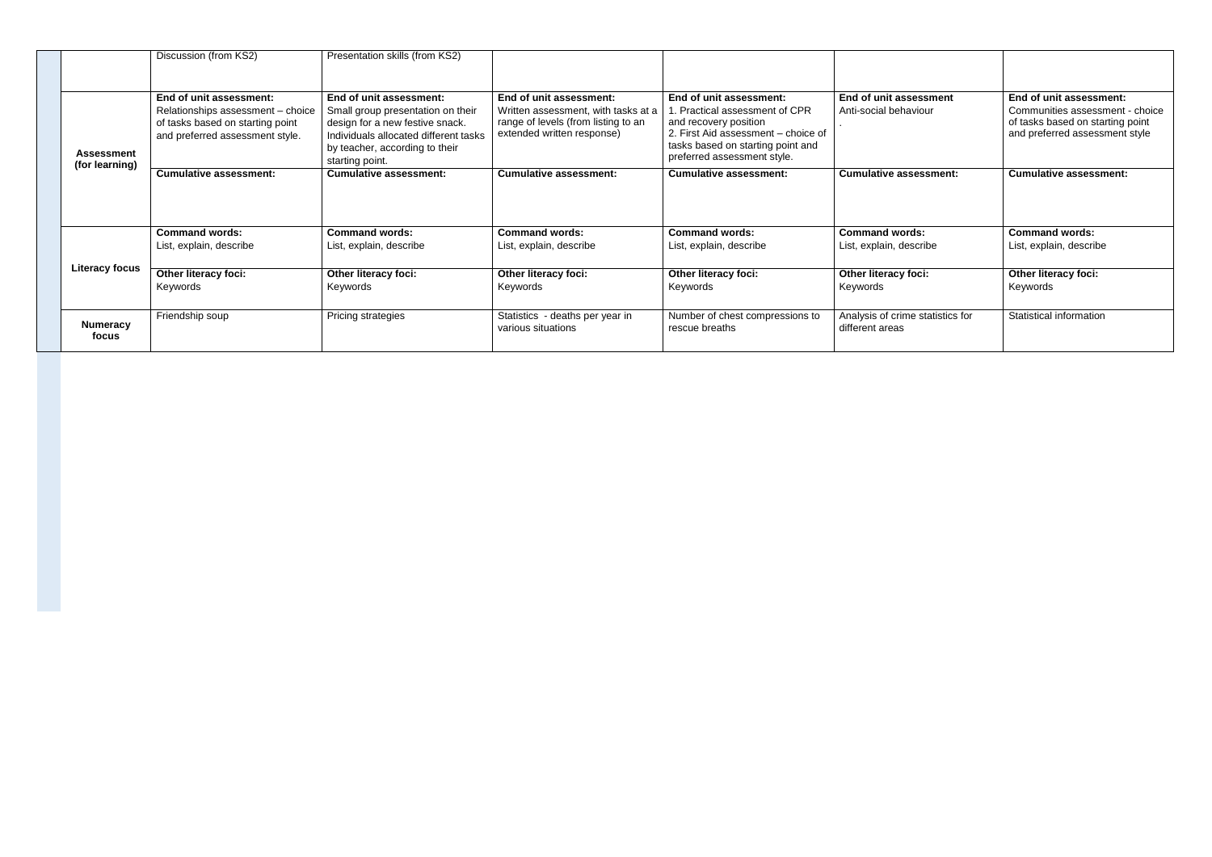|                                     | Discussion (from KS2)                                                                                                               | Presentation skills (from KS2)                                                                                                                                                                |                                                                                                                                     |                                                                                                                                                                                              |                                                     |                                                                                                                                  |
|-------------------------------------|-------------------------------------------------------------------------------------------------------------------------------------|-----------------------------------------------------------------------------------------------------------------------------------------------------------------------------------------------|-------------------------------------------------------------------------------------------------------------------------------------|----------------------------------------------------------------------------------------------------------------------------------------------------------------------------------------------|-----------------------------------------------------|----------------------------------------------------------------------------------------------------------------------------------|
| <b>Assessment</b><br>(for learning) | End of unit assessment:<br>Relationships assessment - choice<br>of tasks based on starting point<br>and preferred assessment style. | End of unit assessment:<br>Small group presentation on their<br>design for a new festive snack.<br>Individuals allocated different tasks<br>by teacher, according to their<br>starting point. | End of unit assessment:<br>Written assessment, with tasks at a<br>range of levels (from listing to an<br>extended written response) | End of unit assessment:<br>. Practical assessment of CPR<br>and recovery position<br>2. First Aid assessment - choice of<br>tasks based on starting point and<br>preferred assessment style. | End of unit assessment<br>Anti-social behaviour     | End of unit assessment:<br>Communities assessment - choice<br>of tasks based on starting point<br>and preferred assessment style |
|                                     | <b>Cumulative assessment:</b>                                                                                                       | <b>Cumulative assessment:</b>                                                                                                                                                                 | <b>Cumulative assessment:</b>                                                                                                       | <b>Cumulative assessment:</b>                                                                                                                                                                | <b>Cumulative assessment:</b>                       | <b>Cumulative assessment:</b>                                                                                                    |
|                                     | <b>Command words:</b>                                                                                                               | <b>Command words:</b>                                                                                                                                                                         | <b>Command words:</b>                                                                                                               | <b>Command words:</b>                                                                                                                                                                        | <b>Command words:</b>                               | <b>Command words:</b>                                                                                                            |
|                                     | List, explain, describe                                                                                                             | List, explain, describe                                                                                                                                                                       | List, explain, describe                                                                                                             | List, explain, describe                                                                                                                                                                      | List, explain, describe                             | List, explain, describe                                                                                                          |
| <b>Literacy focus</b>               | <b>Other literacy foci:</b><br>Keywords                                                                                             | Other literacy foci:<br>Keywords                                                                                                                                                              | Other literacy foci:<br>Keywords                                                                                                    | <b>Other literacy foci:</b><br>Keywords                                                                                                                                                      | <b>Other literacy foci:</b><br>Keywords             | Other literacy foci:<br>Keywords                                                                                                 |
| <b>Numeracy</b><br>focus            | Friendship soup                                                                                                                     | Pricing strategies                                                                                                                                                                            | Statistics - deaths per year in<br>various situations                                                                               | Number of chest compressions to<br>rescue breaths                                                                                                                                            | Analysis of crime statistics for<br>different areas | Statistical information                                                                                                          |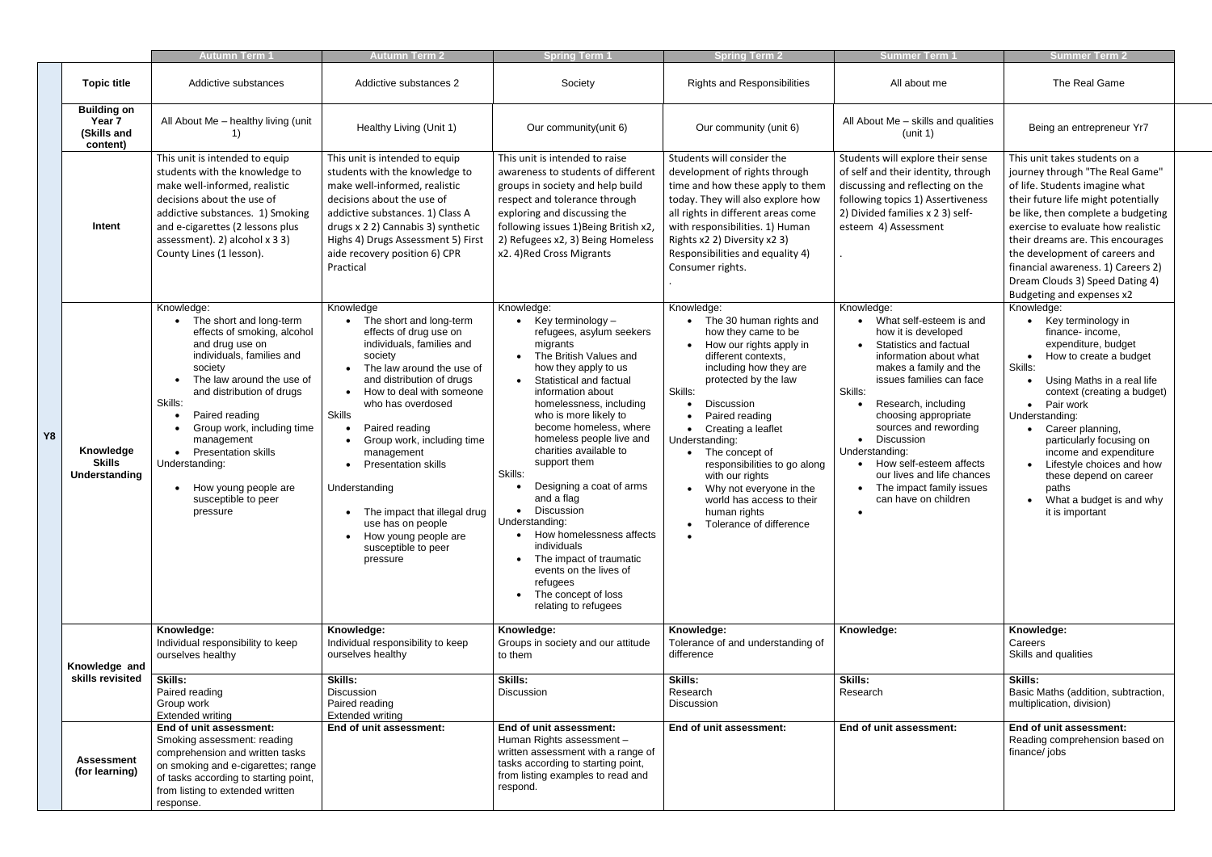|                                                         | <b>Autumn Term 1</b>                                                                                                                                                                                                                                                                                                                                                          | <b>Autumn Term 2</b>                                                                                                                                                                                                                                                                                                                                                                                                                                                                      | <b>Spring Term 1</b>                                                                                                                                                                                                                                                                                                                                                                                                                                                                                                                                                                   | <b>Spring Term 2</b>                                                                                                                                                                                                                                                                                                                                                                                                                     | <b>Summer Term '</b>                                                                                                                                                                                                                                                                                                                                                                                                             | <b>Summer Term 2</b>                                                                                                                                                                                                                                                                                                                                                                                               |
|---------------------------------------------------------|-------------------------------------------------------------------------------------------------------------------------------------------------------------------------------------------------------------------------------------------------------------------------------------------------------------------------------------------------------------------------------|-------------------------------------------------------------------------------------------------------------------------------------------------------------------------------------------------------------------------------------------------------------------------------------------------------------------------------------------------------------------------------------------------------------------------------------------------------------------------------------------|----------------------------------------------------------------------------------------------------------------------------------------------------------------------------------------------------------------------------------------------------------------------------------------------------------------------------------------------------------------------------------------------------------------------------------------------------------------------------------------------------------------------------------------------------------------------------------------|------------------------------------------------------------------------------------------------------------------------------------------------------------------------------------------------------------------------------------------------------------------------------------------------------------------------------------------------------------------------------------------------------------------------------------------|----------------------------------------------------------------------------------------------------------------------------------------------------------------------------------------------------------------------------------------------------------------------------------------------------------------------------------------------------------------------------------------------------------------------------------|--------------------------------------------------------------------------------------------------------------------------------------------------------------------------------------------------------------------------------------------------------------------------------------------------------------------------------------------------------------------------------------------------------------------|
| <b>Topic title</b>                                      | Addictive substances                                                                                                                                                                                                                                                                                                                                                          | Addictive substances 2                                                                                                                                                                                                                                                                                                                                                                                                                                                                    | Society                                                                                                                                                                                                                                                                                                                                                                                                                                                                                                                                                                                | <b>Rights and Responsibilities</b>                                                                                                                                                                                                                                                                                                                                                                                                       | All about me                                                                                                                                                                                                                                                                                                                                                                                                                     | The Real Game                                                                                                                                                                                                                                                                                                                                                                                                      |
| <b>Building on</b><br>Year 7<br>(Skills and<br>content) | All About Me - healthy living (unit                                                                                                                                                                                                                                                                                                                                           | Healthy Living (Unit 1)                                                                                                                                                                                                                                                                                                                                                                                                                                                                   | Our community(unit 6)                                                                                                                                                                                                                                                                                                                                                                                                                                                                                                                                                                  | Our community (unit 6)                                                                                                                                                                                                                                                                                                                                                                                                                   | All About Me - skills and qualities<br>(unit 1)                                                                                                                                                                                                                                                                                                                                                                                  | Being an entrepreneur Yr7                                                                                                                                                                                                                                                                                                                                                                                          |
| Intent                                                  | This unit is intended to equip<br>students with the knowledge to<br>make well-informed, realistic<br>decisions about the use of<br>addictive substances. 1) Smoking<br>and e-cigarettes (2 lessons plus<br>assessment). 2) alcohol x 3 3)<br>County Lines (1 lesson).                                                                                                         | This unit is intended to equip<br>students with the knowledge to<br>make well-informed, realistic<br>decisions about the use of<br>addictive substances. 1) Class A<br>drugs x 2 2) Cannabis 3) synthetic<br>Highs 4) Drugs Assessment 5) First<br>aide recovery position 6) CPR<br>Practical                                                                                                                                                                                             | This unit is intended to raise<br>awareness to students of different<br>groups in society and help build<br>respect and tolerance through<br>exploring and discussing the<br>following issues 1) Being British x2,<br>2) Refugees x2, 3) Being Homeless<br>x2.4) Red Cross Migrants                                                                                                                                                                                                                                                                                                    | Students will consider the<br>development of rights through<br>time and how these apply to them<br>today. They will also explore how<br>all rights in different areas come<br>with responsibilities. 1) Human<br>Rights x2 2) Diversity x2 3)<br>Responsibilities and equality 4)<br>Consumer rights.                                                                                                                                    | Students will explore their sense<br>of self and their identity, through<br>discussing and reflecting on the<br>following topics 1) Assertiveness<br>2) Divided families x 2 3) self-<br>esteem 4) Assessment                                                                                                                                                                                                                    | This unit takes students on a<br>journey through "The Real Game"<br>of life. Students imagine what<br>their future life might potentially<br>be like, then complete a budgeting<br>exercise to evaluate how realistic<br>their dreams are. This encourages<br>the development of careers and<br>financial awareness. 1) Careers 2)<br>Dream Clouds 3) Speed Dating 4)<br>Budgeting and expenses x2                 |
| Y8<br>Knowledge<br><b>Skills</b><br>Understanding       | Knowledge:<br>The short and long-term<br>effects of smoking, alcohol<br>and drug use on<br>individuals, families and<br>society<br>The law around the use of<br>and distribution of drugs<br>Skills:<br>Paired reading<br>Group work, including time<br>management<br><b>Presentation skills</b><br>Understanding:<br>How young people are<br>susceptible to peer<br>pressure | Knowledge<br>The short and long-term<br>effects of drug use on<br>individuals, families and<br>society<br>The law around the use of<br>and distribution of drugs<br>How to deal with someone<br>$\bullet$<br>who has overdosed<br><b>Skills</b><br>Paired reading<br>Group work, including time<br>management<br><b>Presentation skills</b><br>Understanding<br>The impact that illegal drug<br>use has on people<br>How young people are<br>$\bullet$<br>susceptible to peer<br>pressure | Knowledge:<br>Key terminology –<br>refugees, asylum seekers<br>migrants<br>The British Values and<br>how they apply to us<br>Statistical and factual<br>information about<br>homelessness, including<br>who is more likely to<br>become homeless, where<br>homeless people live and<br>charities available to<br>support them<br>Skills:<br>Designing a coat of arms<br>and a flag<br><b>Discussion</b><br>Understanding:<br>How homelessness affects<br>individuals<br>The impact of traumatic<br>events on the lives of<br>refugees<br>• The concept of loss<br>relating to refugees | Knowledge:<br>The 30 human rights and<br>how they came to be<br>How our rights apply in<br>different contexts,<br>including how they are<br>protected by the law<br>Skills:<br>Discussion<br>Paired reading<br>Creating a leaflet<br>$\bullet$<br>Understanding:<br>The concept of<br>responsibilities to go along<br>with our rights<br>Why not everyone in the<br>world has access to their<br>human rights<br>Tolerance of difference | Knowledge:<br>What self-esteem is and<br>how it is developed<br>Statistics and factual<br>$\bullet$<br>information about what<br>makes a family and the<br>issues families can face<br>Skills:<br>Research, including<br>choosing appropriate<br>sources and rewording<br>Discussion<br>Understanding:<br>How self-esteem affects<br>our lives and life chances<br>The impact family issues<br>can have on children<br>$\bullet$ | Knowledge:<br>Key terminology in<br>finance- income,<br>expenditure, budget<br>How to create a budget<br>Skills:<br>Using Maths in a real life<br>context (creating a budget)<br>Pair work<br>Understanding:<br>Career planning,<br>particularly focusing on<br>income and expenditure<br>Lifestyle choices and how<br>these depend on career<br>paths<br>What a budget is and why<br>$\bullet$<br>it is important |
| Knowledge and<br>skills revisited                       | Knowledge:<br>Individual responsibility to keep<br>ourselves healthy<br>Skills:                                                                                                                                                                                                                                                                                               | Knowledge:<br>Individual responsibility to keep<br>ourselves healthy<br><b>Skills:</b>                                                                                                                                                                                                                                                                                                                                                                                                    | Knowledge:<br>Groups in society and our attitude<br>to them<br><b>Skills:</b>                                                                                                                                                                                                                                                                                                                                                                                                                                                                                                          | Knowledge:<br>Tolerance of and understanding of<br>difference<br><b>Skills:</b>                                                                                                                                                                                                                                                                                                                                                          | Knowledge:<br><b>Skills:</b>                                                                                                                                                                                                                                                                                                                                                                                                     | Knowledge:<br>Careers<br>Skills and qualities<br><b>Skills:</b>                                                                                                                                                                                                                                                                                                                                                    |
|                                                         | Paired reading<br>Group work<br><b>Extended writing</b>                                                                                                                                                                                                                                                                                                                       | Discussion<br>Paired reading<br><b>Extended writing</b>                                                                                                                                                                                                                                                                                                                                                                                                                                   | Discussion                                                                                                                                                                                                                                                                                                                                                                                                                                                                                                                                                                             | Research<br><b>Discussion</b>                                                                                                                                                                                                                                                                                                                                                                                                            | Research                                                                                                                                                                                                                                                                                                                                                                                                                         | Basic Maths (addition, subtraction,<br>multiplication, division)                                                                                                                                                                                                                                                                                                                                                   |
| <b>Assessment</b><br>(for learning)                     | End of unit assessment:<br>Smoking assessment: reading<br>comprehension and written tasks<br>on smoking and e-cigarettes; range<br>of tasks according to starting point,<br>from listing to extended written<br>response.                                                                                                                                                     | End of unit assessment:                                                                                                                                                                                                                                                                                                                                                                                                                                                                   | End of unit assessment:<br>Human Rights assessment -<br>written assessment with a range of<br>tasks according to starting point,<br>from listing examples to read and<br>respond.                                                                                                                                                                                                                                                                                                                                                                                                      | End of unit assessment:                                                                                                                                                                                                                                                                                                                                                                                                                  | End of unit assessment:                                                                                                                                                                                                                                                                                                                                                                                                          | End of unit assessment:<br>Reading comprehension based on<br>finance/jobs                                                                                                                                                                                                                                                                                                                                          |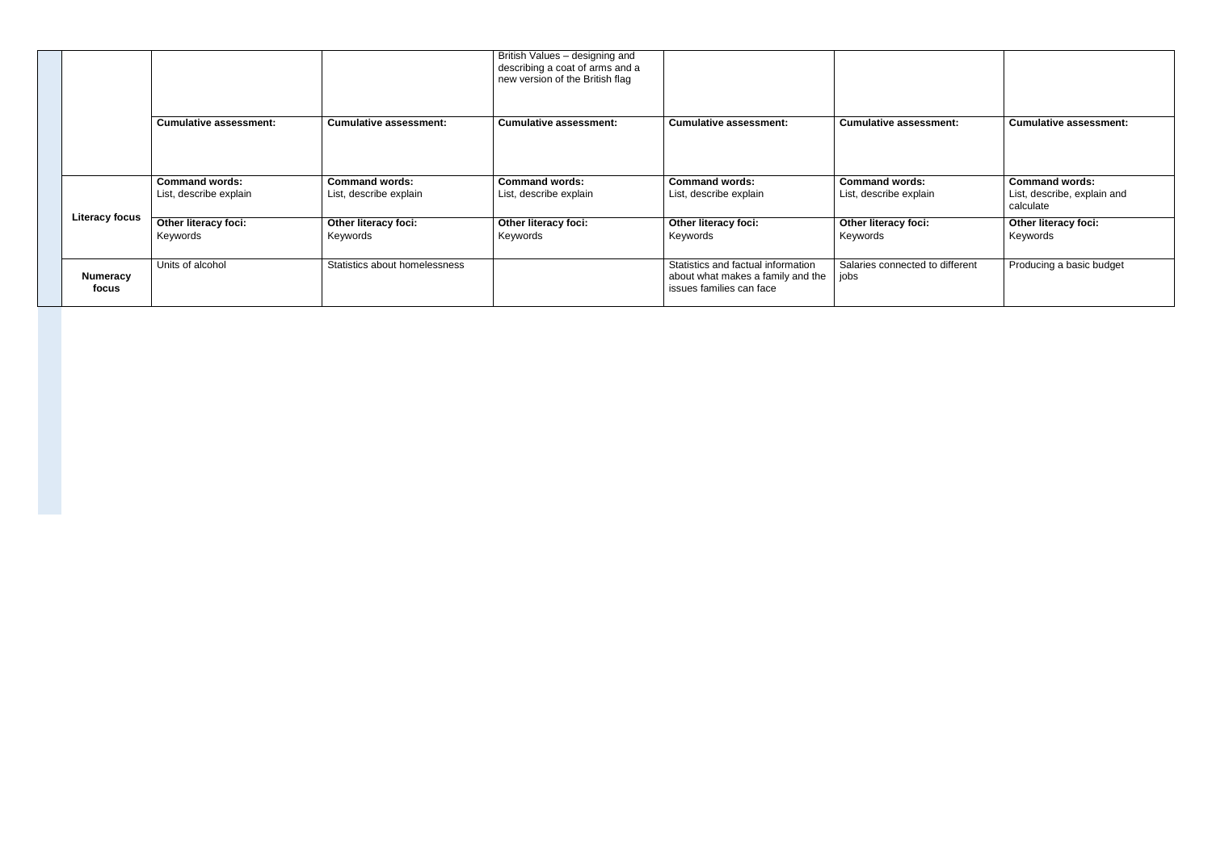|                          |                                                 |                                                 | British Values - designing and<br>describing a coat of arms and a<br>new version of the British flag |                                                                                                     |                                                 |                                                                   |
|--------------------------|-------------------------------------------------|-------------------------------------------------|------------------------------------------------------------------------------------------------------|-----------------------------------------------------------------------------------------------------|-------------------------------------------------|-------------------------------------------------------------------|
|                          | <b>Cumulative assessment:</b>                   | <b>Cumulative assessment:</b>                   | <b>Cumulative assessment:</b>                                                                        | <b>Cumulative assessment:</b>                                                                       | <b>Cumulative assessment:</b>                   | <b>Cumulative assessment:</b>                                     |
|                          | <b>Command words:</b><br>List, describe explain | <b>Command words:</b><br>List, describe explain | <b>Command words:</b><br>List, describe explain                                                      | <b>Command words:</b><br>List, describe explain                                                     | <b>Command words:</b><br>List, describe explain | <b>Command words:</b><br>List, describe, explain and<br>calculate |
| <b>Literacy focus</b>    | <b>Other literacy foci:</b><br>Keywords         | Other literacy foci:<br>Keywords                | Other literacy foci:<br>Keywords                                                                     | Other literacy foci:<br>Keywords                                                                    | Other literacy foci:<br>Keywords                | <b>Other literacy foci:</b><br>Keywords                           |
| <b>Numeracy</b><br>focus | Units of alcohol                                | Statistics about homelessness                   |                                                                                                      | Statistics and factual information<br>about what makes a family and the<br>issues families can face | Salaries connected to different<br>jobs         | Producing a basic budget                                          |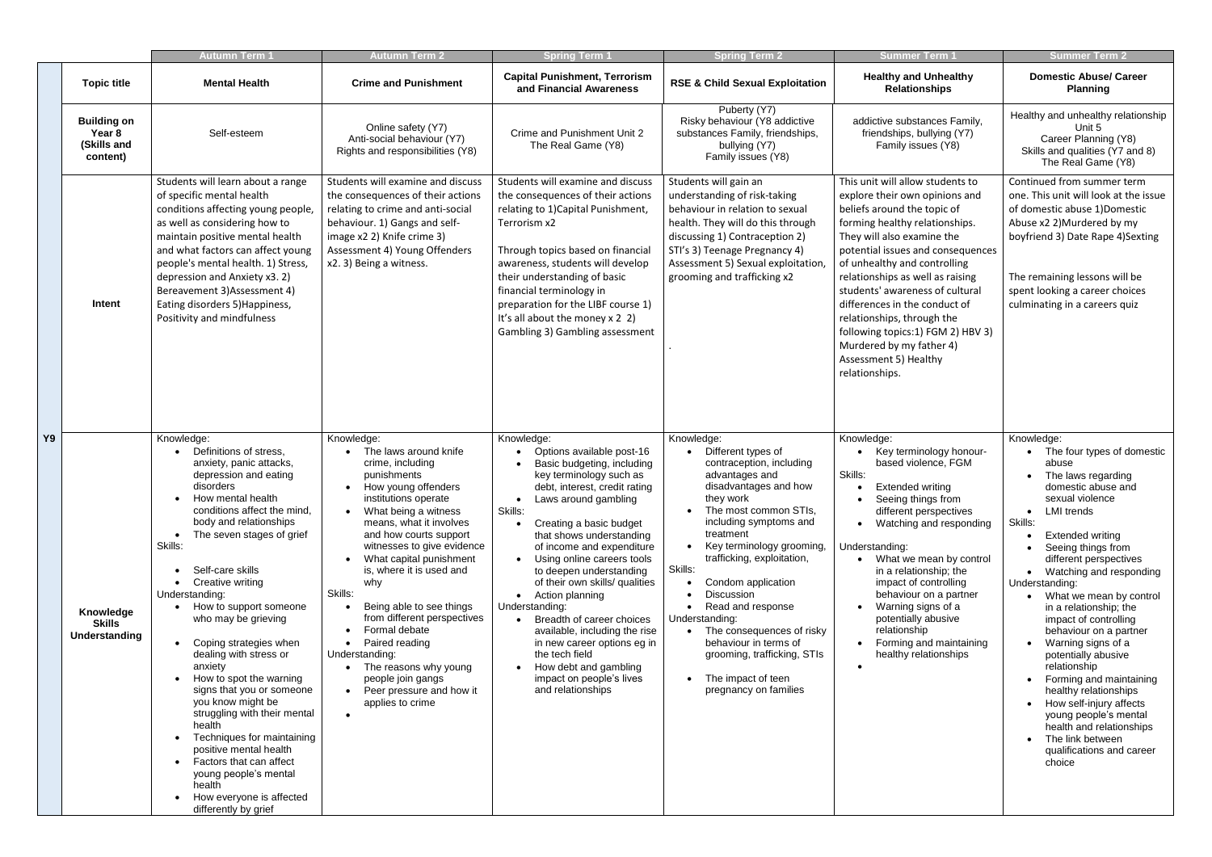|    |                                                         | <b>Autumn Term 1</b>                                                                                                                                                                                                                                                                                                                                                                                                                                                                                                                                                                                                                                                                                     | <b>Autumn Term 2</b>                                                                                                                                                                                                                                                                                                                                                                                                                                                                                                      | <b>Spring Term 1</b>                                                                                                                                                                                                                                                                                                                                                                                                                                                                                                                                                                                        | <b>Spring Term 2</b>                                                                                                                                                                                                                                                                                                                                                                                                                                                      | <b>Summer Term 1</b>                                                                                                                                                                                                                                                                                                                                                                                                                                                                     | <b>Summer Term 2</b>                                                                                                                                                                                                                                                                                                                                                                                                                                                                                                                                                                                                                                                   |
|----|---------------------------------------------------------|----------------------------------------------------------------------------------------------------------------------------------------------------------------------------------------------------------------------------------------------------------------------------------------------------------------------------------------------------------------------------------------------------------------------------------------------------------------------------------------------------------------------------------------------------------------------------------------------------------------------------------------------------------------------------------------------------------|---------------------------------------------------------------------------------------------------------------------------------------------------------------------------------------------------------------------------------------------------------------------------------------------------------------------------------------------------------------------------------------------------------------------------------------------------------------------------------------------------------------------------|-------------------------------------------------------------------------------------------------------------------------------------------------------------------------------------------------------------------------------------------------------------------------------------------------------------------------------------------------------------------------------------------------------------------------------------------------------------------------------------------------------------------------------------------------------------------------------------------------------------|---------------------------------------------------------------------------------------------------------------------------------------------------------------------------------------------------------------------------------------------------------------------------------------------------------------------------------------------------------------------------------------------------------------------------------------------------------------------------|------------------------------------------------------------------------------------------------------------------------------------------------------------------------------------------------------------------------------------------------------------------------------------------------------------------------------------------------------------------------------------------------------------------------------------------------------------------------------------------|------------------------------------------------------------------------------------------------------------------------------------------------------------------------------------------------------------------------------------------------------------------------------------------------------------------------------------------------------------------------------------------------------------------------------------------------------------------------------------------------------------------------------------------------------------------------------------------------------------------------------------------------------------------------|
|    | <b>Topic title</b>                                      | <b>Mental Health</b>                                                                                                                                                                                                                                                                                                                                                                                                                                                                                                                                                                                                                                                                                     | <b>Crime and Punishment</b>                                                                                                                                                                                                                                                                                                                                                                                                                                                                                               | <b>Capital Punishment, Terrorism</b><br>and Financial Awareness                                                                                                                                                                                                                                                                                                                                                                                                                                                                                                                                             | <b>RSE &amp; Child Sexual Exploitation</b>                                                                                                                                                                                                                                                                                                                                                                                                                                | <b>Healthy and Unhealthy</b><br><b>Relationships</b>                                                                                                                                                                                                                                                                                                                                                                                                                                     | <b>Domestic Abuse/ Career</b><br><b>Planning</b>                                                                                                                                                                                                                                                                                                                                                                                                                                                                                                                                                                                                                       |
|    | <b>Building on</b><br>Year 8<br>(Skills and<br>content) | Self-esteem                                                                                                                                                                                                                                                                                                                                                                                                                                                                                                                                                                                                                                                                                              | Online safety (Y7)<br>Anti-social behaviour (Y7)<br>Rights and responsibilities (Y8)                                                                                                                                                                                                                                                                                                                                                                                                                                      | Crime and Punishment Unit 2<br>The Real Game (Y8)                                                                                                                                                                                                                                                                                                                                                                                                                                                                                                                                                           | Puberty (Y7)<br>Risky behaviour (Y8 addictive<br>substances Family, friendships,<br>bullying (Y7)<br>Family issues (Y8)                                                                                                                                                                                                                                                                                                                                                   | addictive substances Family,<br>friendships, bullying (Y7)<br>Family issues (Y8)                                                                                                                                                                                                                                                                                                                                                                                                         | Healthy and unhealthy relationship<br>Unit 5<br>Career Planning (Y8)<br>Skills and qualities (Y7 and 8)<br>The Real Game (Y8)                                                                                                                                                                                                                                                                                                                                                                                                                                                                                                                                          |
|    | Intent                                                  | Students will learn about a range<br>of specific mental health<br>conditions affecting young people,<br>as well as considering how to<br>maintain positive mental health<br>and what factors can affect young<br>people's mental health. 1) Stress,<br>depression and Anxiety x3. 2)<br>Bereavement 3) Assessment 4)<br>Eating disorders 5) Happiness,<br>Positivity and mindfulness                                                                                                                                                                                                                                                                                                                     | Students will examine and discuss<br>the consequences of their actions<br>relating to crime and anti-social<br>behaviour. 1) Gangs and self-<br>image x2 2) Knife crime 3)<br>Assessment 4) Young Offenders<br>x2. 3) Being a witness.                                                                                                                                                                                                                                                                                    | Students will examine and discuss<br>the consequences of their actions<br>relating to 1) Capital Punishment,<br>Terrorism x2<br>Through topics based on financial<br>awareness, students will develop<br>their understanding of basic<br>financial terminology in<br>preparation for the LIBF course 1)<br>It's all about the money x 2 2)<br>Gambling 3) Gambling assessment                                                                                                                                                                                                                               | Students will gain an<br>understanding of risk-taking<br>behaviour in relation to sexual<br>health. They will do this through<br>discussing 1) Contraception 2)<br>STI's 3) Teenage Pregnancy 4)<br>Assessment 5) Sexual exploitation,<br>grooming and trafficking x2                                                                                                                                                                                                     | This unit will allow students to<br>explore their own opinions and<br>beliefs around the topic of<br>forming healthy relationships.<br>They will also examine the<br>potential issues and consequences<br>of unhealthy and controlling<br>relationships as well as raising<br>students' awareness of cultural<br>differences in the conduct of<br>relationships, through the<br>following topics:1) FGM 2) HBV 3)<br>Murdered by my father 4)<br>Assessment 5) Healthy<br>relationships. | Continued from summer term<br>one. This unit will look at the issue<br>of domestic abuse 1)Domestic<br>Abuse x2 2)Murdered by my<br>boyfriend 3) Date Rape 4) Sexting<br>The remaining lessons will be<br>spent looking a career choices<br>culminating in a careers quiz                                                                                                                                                                                                                                                                                                                                                                                              |
| Υ9 | Knowledge<br><b>Skills</b><br><b>Understanding</b>      | Knowledge:<br>Definitions of stress,<br>anxiety, panic attacks,<br>depression and eating<br>disorders<br>How mental health<br>conditions affect the mind,<br>body and relationships<br>The seven stages of grief<br>Skills:<br>Self-care skills<br>Creative writing<br>Understanding:<br>• How to support someone<br>who may be grieving<br>Coping strategies when<br>dealing with stress or<br>anxiety<br>How to spot the warning<br>signs that you or someone<br>you know might be<br>struggling with their mental<br>health<br>Techniques for maintaining<br>positive mental health<br>Factors that can affect<br>young people's mental<br>health<br>How everyone is affected<br>differently by grief | Knowledge:<br>The laws around knife<br>crime, including<br>punishments<br>How young offenders<br>institutions operate<br>What being a witness<br>means, what it involves<br>and how courts support<br>witnesses to give evidence<br>What capital punishment<br>is, where it is used and<br>why<br>Skills:<br>Being able to see things<br>from different perspectives<br>Formal debate<br>Paired reading<br>Understanding:<br>The reasons why young<br>people join gangs<br>• Peer pressure and how it<br>applies to crime | Knowledge:<br>Options available post-16<br>Basic budgeting, including<br>key terminology such as<br>debt, interest, credit rating<br>Laws around gambling<br>$\bullet$<br>Skills:<br>Creating a basic budget<br>that shows understanding<br>of income and expenditure<br>Using online careers tools<br>to deepen understanding<br>of their own skills/ qualities<br>Action planning<br>$\bullet$<br>Understanding:<br>Breadth of career choices<br>available, including the rise<br>in new career options eg in<br>the tech field<br>How debt and gambling<br>impact on people's lives<br>and relationships | Knowledge:<br>Different types of<br>contraception, including<br>advantages and<br>disadvantages and how<br>they work<br>The most common STIs,<br>including symptoms and<br>treatment<br>Key terminology grooming,<br>trafficking, exploitation,<br>Skills:<br>Condom application<br>Discussion<br>Read and response<br>Understanding:<br>The consequences of risky<br>behaviour in terms of<br>grooming, trafficking, STIs<br>The impact of teen<br>pregnancy on families | Knowledge:<br>Key terminology honour-<br>based violence, FGM<br>Skills:<br><b>Extended writing</b><br>Seeing things from<br>different perspectives<br>Watching and responding<br>Understanding:<br>What we mean by control<br>in a relationship; the<br>impact of controlling<br>behaviour on a partner<br>Warning signs of a<br>potentially abusive<br>relationship<br>Forming and maintaining<br>healthy relationships                                                                 | Knowledge:<br>The four types of domestic<br>abuse<br>The laws regarding<br>domestic abuse and<br>sexual violence<br><b>LMI</b> trends<br>$\bullet$<br>Skills:<br><b>Extended writing</b><br>Seeing things from<br>different perspectives<br>Watching and responding<br>Understanding:<br>What we mean by control<br>in a relationship; the<br>impact of controlling<br>behaviour on a partner<br>Warning signs of a<br>potentially abusive<br>relationship<br>Forming and maintaining<br>healthy relationships<br>How self-injury affects<br>young people's mental<br>health and relationships<br>The link between<br>$\bullet$<br>qualifications and career<br>choice |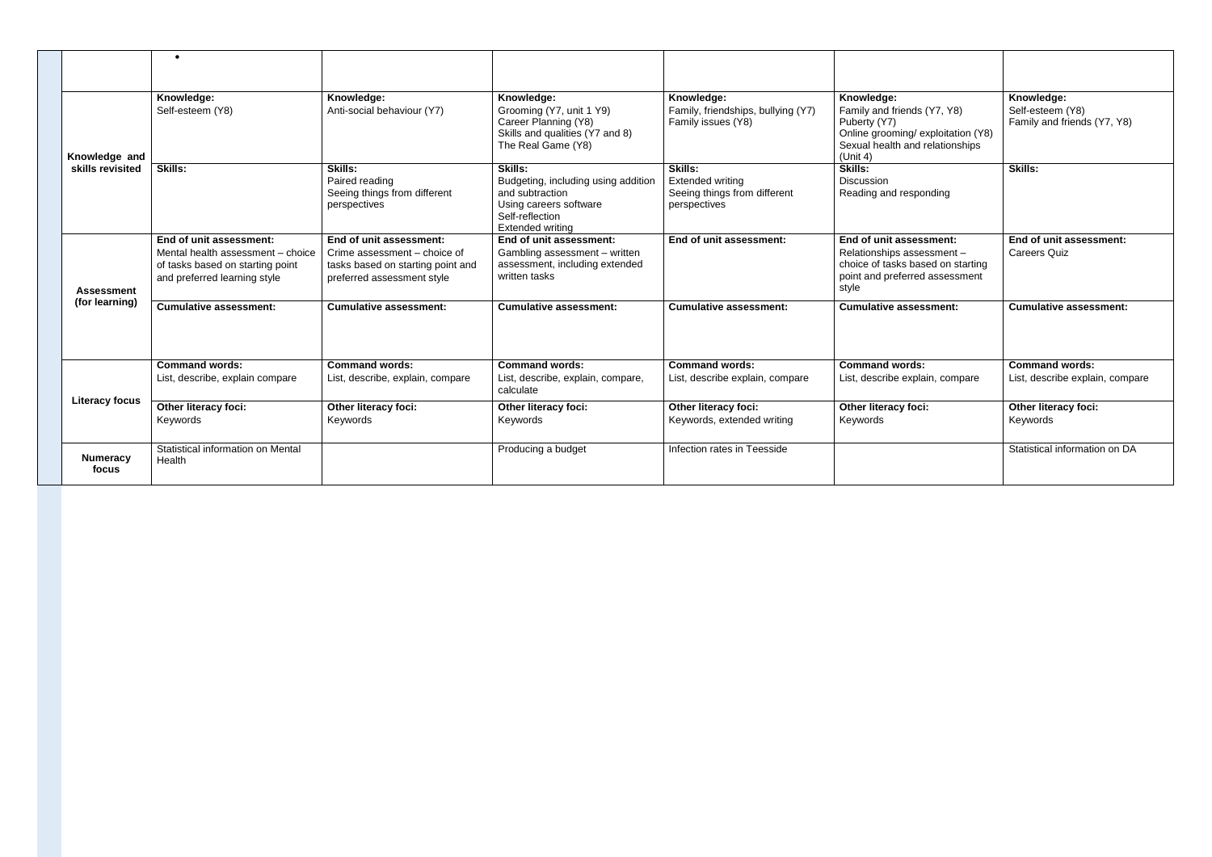|                          | $\bullet$                                                                                                                        |                                                                                                                            |                                                                                                                                                  |                                                                                           |                                                                                                                                               |                                                               |
|--------------------------|----------------------------------------------------------------------------------------------------------------------------------|----------------------------------------------------------------------------------------------------------------------------|--------------------------------------------------------------------------------------------------------------------------------------------------|-------------------------------------------------------------------------------------------|-----------------------------------------------------------------------------------------------------------------------------------------------|---------------------------------------------------------------|
|                          |                                                                                                                                  |                                                                                                                            |                                                                                                                                                  |                                                                                           |                                                                                                                                               |                                                               |
| Knowledge and            | Knowledge:<br>Self-esteem (Y8)                                                                                                   | Knowledge:<br>Anti-social behaviour (Y7)                                                                                   | Knowledge:<br>Grooming (Y7, unit 1 Y9)<br>Career Planning (Y8)<br>Skills and qualities (Y7 and 8)<br>The Real Game (Y8)                          | Knowledge:<br>Family, friendships, bullying (Y7)<br>Family issues (Y8)                    | Knowledge:<br>Family and friends (Y7, Y8)<br>Puberty (Y7)<br>Online grooming/exploitation (Y8)<br>Sexual health and relationships<br>(Unit 4) | Knowledge:<br>Self-esteem (Y8)<br>Family and friends (Y7, Y8) |
| skills revisited         | <b>Skills:</b>                                                                                                                   | <b>Skills:</b><br>Paired reading<br>Seeing things from different<br>perspectives                                           | <b>Skills:</b><br>Budgeting, including using addition<br>and subtraction<br>Using careers software<br>Self-reflection<br><b>Extended writing</b> | <b>Skills:</b><br><b>Extended writing</b><br>Seeing things from different<br>perspectives | <b>Skills:</b><br><b>Discussion</b><br>Reading and responding                                                                                 | <b>Skills:</b>                                                |
| <b>Assessment</b>        | End of unit assessment:<br>Mental health assessment - choice<br>of tasks based on starting point<br>and preferred learning style | End of unit assessment:<br>Crime assessment - choice of<br>tasks based on starting point and<br>preferred assessment style | End of unit assessment:<br>Gambling assessment - written<br>assessment, including extended<br>written tasks                                      | End of unit assessment:                                                                   | End of unit assessment:<br>Relationships assessment -<br>choice of tasks based on starting<br>point and preferred assessment<br>style         | End of unit assessment:<br><b>Careers Quiz</b>                |
| (for learning)           | <b>Cumulative assessment:</b>                                                                                                    | Cumulative assessment:                                                                                                     | Cumulative assessment:                                                                                                                           | <b>Cumulative assessment:</b>                                                             | <b>Cumulative assessment:</b>                                                                                                                 | Cumulative assessment:                                        |
| <b>Literacy focus</b>    | <b>Command words:</b><br>List, describe, explain compare                                                                         | <b>Command words:</b><br>List, describe, explain, compare                                                                  | <b>Command words:</b><br>List, describe, explain, compare,<br>calculate                                                                          | <b>Command words:</b><br>List, describe explain, compare                                  | <b>Command words:</b><br>List, describe explain, compare                                                                                      | <b>Command words:</b><br>List, describe explain, compare      |
|                          | <b>Other literacy foci:</b><br>Keywords                                                                                          | Other literacy foci:<br>Keywords                                                                                           | <b>Other literacy foci:</b><br>Keywords                                                                                                          | Other literacy foci:<br>Keywords, extended writing                                        | <b>Other literacy foci:</b><br>Keywords                                                                                                       | <b>Other literacy foci:</b><br>Keywords                       |
| <b>Numeracy</b><br>focus | Statistical information on Mental<br>Health                                                                                      |                                                                                                                            | Producing a budget                                                                                                                               | Infection rates in Teesside                                                               |                                                                                                                                               | Statistical information on DA                                 |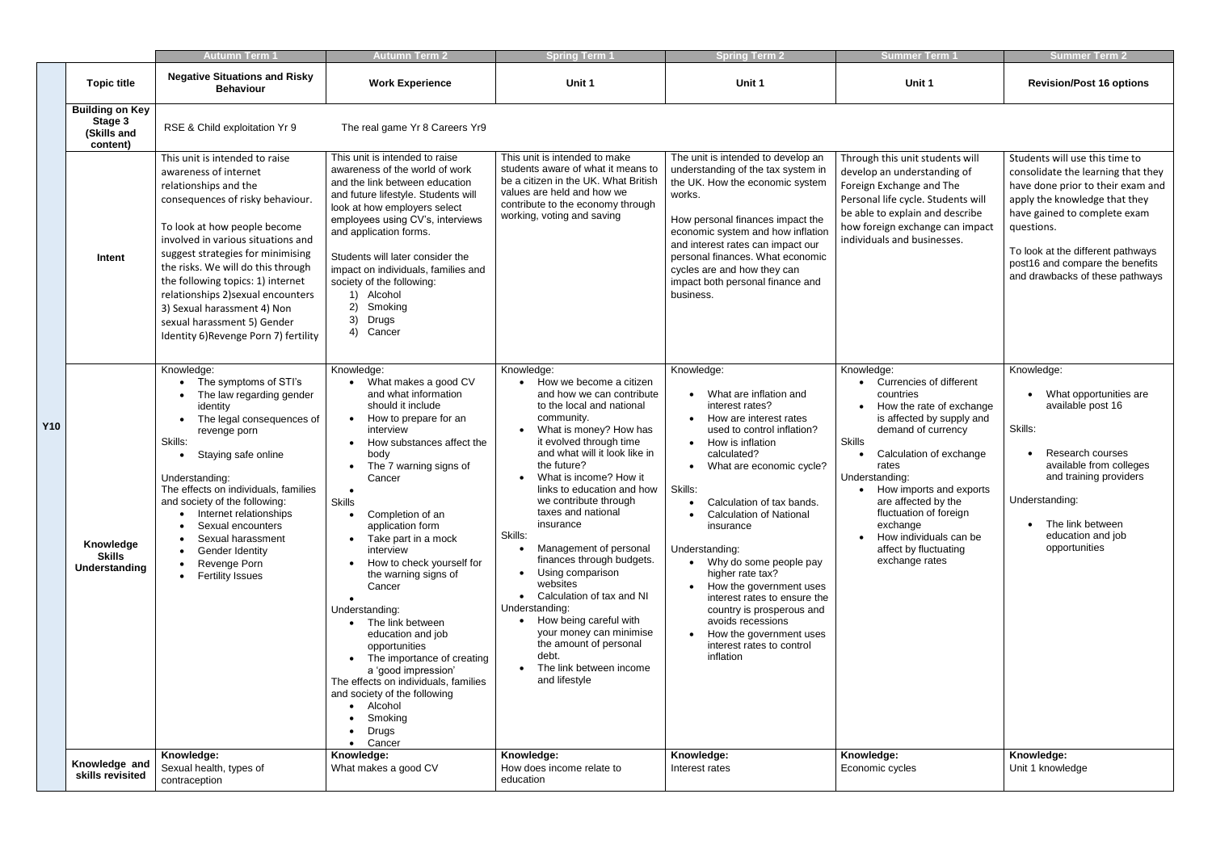|            |                                                              | <b>Autumn Term 1</b>                                                                                                                                                                                                                                                                                                                                                                                                                                    | <b>Autumn Term 2</b>                                                                                                                                                                                                                                                                                                                                                                                                                                                                                                                                                                                                                                           | <b>Spring Term 1</b>                                                                                                                                                                                                                                                                                                                                                                                                                                                                                                                                                                                                        | <b>Spring Term 2</b>                                                                                                                                                                                                                                                                                                                                                                                                                                                                                                            | <b>Summer Term 1</b>                                                                                                                                                                                                                                                                                                                                                           | <b>Summer Term 2</b>                                                                                                                                                                                                                                                                                |
|------------|--------------------------------------------------------------|---------------------------------------------------------------------------------------------------------------------------------------------------------------------------------------------------------------------------------------------------------------------------------------------------------------------------------------------------------------------------------------------------------------------------------------------------------|----------------------------------------------------------------------------------------------------------------------------------------------------------------------------------------------------------------------------------------------------------------------------------------------------------------------------------------------------------------------------------------------------------------------------------------------------------------------------------------------------------------------------------------------------------------------------------------------------------------------------------------------------------------|-----------------------------------------------------------------------------------------------------------------------------------------------------------------------------------------------------------------------------------------------------------------------------------------------------------------------------------------------------------------------------------------------------------------------------------------------------------------------------------------------------------------------------------------------------------------------------------------------------------------------------|---------------------------------------------------------------------------------------------------------------------------------------------------------------------------------------------------------------------------------------------------------------------------------------------------------------------------------------------------------------------------------------------------------------------------------------------------------------------------------------------------------------------------------|--------------------------------------------------------------------------------------------------------------------------------------------------------------------------------------------------------------------------------------------------------------------------------------------------------------------------------------------------------------------------------|-----------------------------------------------------------------------------------------------------------------------------------------------------------------------------------------------------------------------------------------------------------------------------------------------------|
|            | <b>Topic title</b>                                           | <b>Negative Situations and Risky</b><br><b>Behaviour</b>                                                                                                                                                                                                                                                                                                                                                                                                | <b>Work Experience</b>                                                                                                                                                                                                                                                                                                                                                                                                                                                                                                                                                                                                                                         | Unit 1                                                                                                                                                                                                                                                                                                                                                                                                                                                                                                                                                                                                                      | Unit 1                                                                                                                                                                                                                                                                                                                                                                                                                                                                                                                          | Unit 1                                                                                                                                                                                                                                                                                                                                                                         | <b>Revision/Post 16 options</b>                                                                                                                                                                                                                                                                     |
|            | <b>Building on Key</b><br>Stage 3<br>(Skills and<br>content) | RSE & Child exploitation Yr 9                                                                                                                                                                                                                                                                                                                                                                                                                           | The real game Yr 8 Careers Yr9                                                                                                                                                                                                                                                                                                                                                                                                                                                                                                                                                                                                                                 |                                                                                                                                                                                                                                                                                                                                                                                                                                                                                                                                                                                                                             |                                                                                                                                                                                                                                                                                                                                                                                                                                                                                                                                 |                                                                                                                                                                                                                                                                                                                                                                                |                                                                                                                                                                                                                                                                                                     |
|            | Intent                                                       | This unit is intended to raise<br>awareness of internet<br>relationships and the<br>consequences of risky behaviour.<br>To look at how people become<br>involved in various situations and<br>suggest strategies for minimising<br>the risks. We will do this through<br>the following topics: 1) internet<br>relationships 2) sexual encounters<br>3) Sexual harassment 4) Non<br>sexual harassment 5) Gender<br>Identity 6) Revenge Porn 7) fertility | This unit is intended to raise<br>awareness of the world of work<br>and the link between education<br>and future lifestyle. Students will<br>look at how employers select<br>employees using CV's, interviews<br>and application forms.<br>Students will later consider the<br>impact on individuals, families and<br>society of the following:<br>1) Alcohol<br>2)<br>Smoking<br>3)<br>Drugs<br>4) Cancer                                                                                                                                                                                                                                                     | This unit is intended to make<br>students aware of what it means to<br>be a citizen in the UK. What British<br>values are held and how we<br>contribute to the economy through<br>working, voting and saving                                                                                                                                                                                                                                                                                                                                                                                                                | The unit is intended to develop an<br>understanding of the tax system in<br>the UK. How the economic system<br>works.<br>How personal finances impact the<br>economic system and how inflation<br>and interest rates can impact our<br>personal finances. What economic<br>cycles are and how they can<br>impact both personal finance and<br>business.                                                                                                                                                                         | Through this unit students will<br>develop an understanding of<br>Foreign Exchange and The<br>Personal life cycle. Students will<br>be able to explain and describe<br>how foreign exchange can impact<br>individuals and businesses.                                                                                                                                          | Students will use this time to<br>consolidate the learning that they<br>have done prior to their exam and<br>apply the knowledge that they<br>have gained to complete exam<br>questions.<br>To look at the different pathways<br>post16 and compare the benefits<br>and drawbacks of these pathways |
| <b>Y10</b> | Knowledge<br><b>Skills</b><br>Understanding                  | Knowledge:<br>The symptoms of STI's<br>The law regarding gender<br>$\bullet$<br>identity<br>The legal consequences of<br>revenge porn<br>Skills:<br>Staying safe online<br>Understanding:<br>The effects on individuals, families<br>and society of the following:<br>Internet relationships<br>Sexual encounters<br>Sexual harassment<br>Gender Identity<br>Revenge Porn<br><b>Fertility Issues</b>                                                    | Knowledge:<br>What makes a good CV<br>and what information<br>should it include<br>How to prepare for an<br>$\bullet$<br>interview<br>How substances affect the<br>body<br>The 7 warning signs of<br>Cancer<br>$\bullet$<br><b>Skills</b><br>Completion of an<br>application form<br>Take part in a mock<br>interview<br>How to check yourself for<br>the warning signs of<br>Cancer<br>Understanding:<br>• The link between<br>education and job<br>opportunities<br>The importance of creating<br>a 'good impression'<br>The effects on individuals, families<br>and society of the following<br>• Alcohol<br>Smoking<br><b>Drugs</b><br>Cancer<br>$\bullet$ | Knowledge:<br>How we become a citizen<br>and how we can contribute<br>to the local and national<br>community.<br>What is money? How has<br>it evolved through time<br>and what will it look like in<br>the future?<br>What is income? How it<br>links to education and how<br>we contribute through<br>taxes and national<br>insurance<br>Skills:<br>Management of personal<br>finances through budgets.<br>Using comparison<br>websites<br>Calculation of tax and NI<br>Understanding:<br>How being careful with<br>your money can minimise<br>the amount of personal<br>debt.<br>The link between income<br>and lifestyle | Knowledge:<br>• What are inflation and<br>interest rates?<br>How are interest rates<br>used to control inflation?<br>• How is inflation<br>calculated?<br>• What are economic cycle?<br>Skills:<br>Calculation of tax bands.<br><b>Calculation of National</b><br>insurance<br>Understanding:<br>• Why do some people pay<br>higher rate tax?<br>How the government uses<br>interest rates to ensure the<br>country is prosperous and<br>avoids recessions<br>How the government uses<br>interest rates to control<br>inflation | Knowledge:<br><b>Currencies of different</b><br>countries<br>How the rate of exchange<br>is affected by supply and<br>demand of currency<br><b>Skills</b><br>Calculation of exchange<br>rates<br>Understanding:<br>• How imports and exports<br>are affected by the<br>fluctuation of foreign<br>exchange<br>How individuals can be<br>affect by fluctuating<br>exchange rates | Knowledge:<br>What opportunities are<br>available post 16<br>Skills:<br><b>Research courses</b><br>available from colleges<br>and training providers<br>Understanding:<br>The link between<br>education and job<br>opportunities                                                                    |
|            | Knowledge and<br>skills revisited                            | Knowledge:<br>Sexual health, types of<br>contraception                                                                                                                                                                                                                                                                                                                                                                                                  | Knowledge:<br>What makes a good CV                                                                                                                                                                                                                                                                                                                                                                                                                                                                                                                                                                                                                             | Knowledge:<br>How does income relate to<br>education                                                                                                                                                                                                                                                                                                                                                                                                                                                                                                                                                                        | Knowledge:<br>Interest rates                                                                                                                                                                                                                                                                                                                                                                                                                                                                                                    | Knowledge:<br>Economic cycles                                                                                                                                                                                                                                                                                                                                                  | Knowledge:<br>Unit 1 knowledge                                                                                                                                                                                                                                                                      |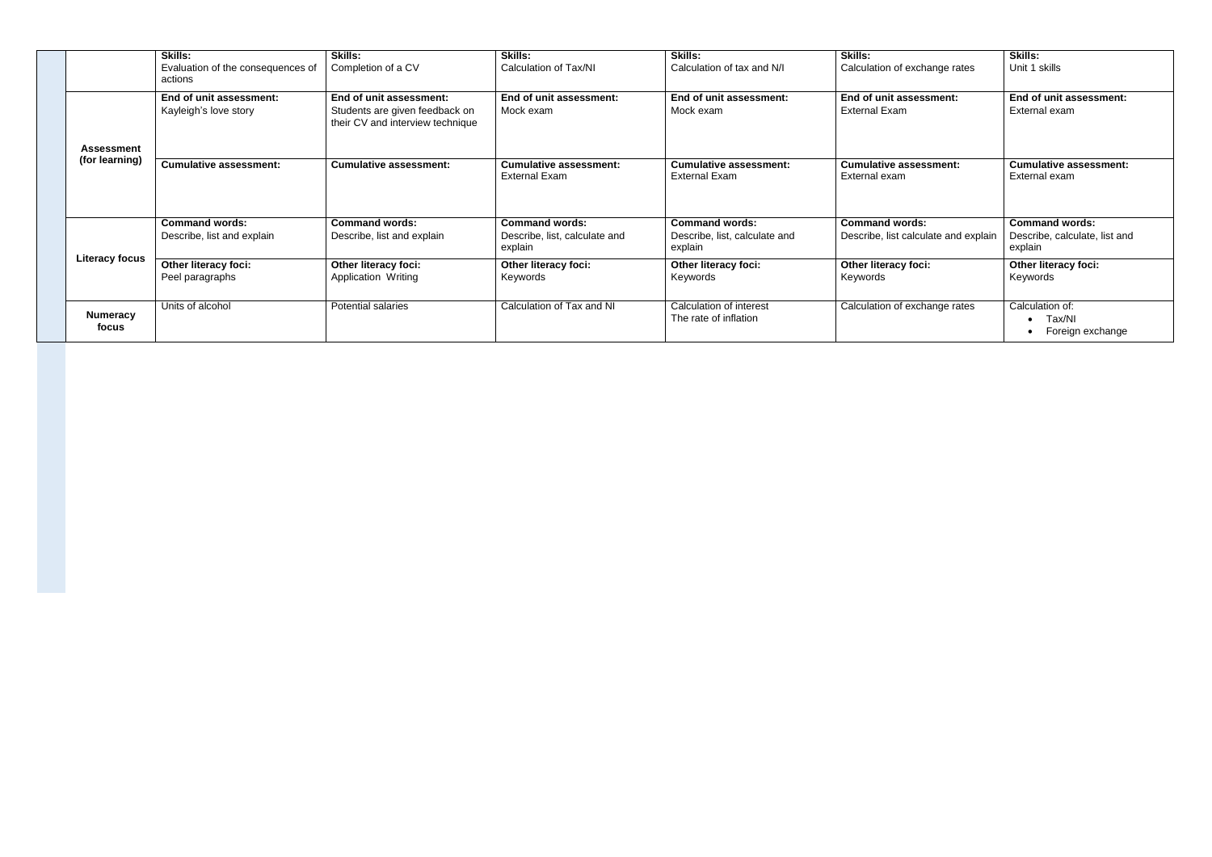|                          | <b>Skills:</b><br>Evaluation of the consequences of<br>actions | <b>Skills:</b><br>Completion of a CV                                                          | <b>Skills:</b><br>Calculation of Tax/NI                           | <b>Skills:</b><br>Calculation of tax and N/I                      | <b>Skills:</b><br>Calculation of exchange rates               | <b>Skills:</b><br>Unit 1 skills                                   |
|--------------------------|----------------------------------------------------------------|-----------------------------------------------------------------------------------------------|-------------------------------------------------------------------|-------------------------------------------------------------------|---------------------------------------------------------------|-------------------------------------------------------------------|
| <b>Assessment</b>        | End of unit assessment:<br>Kayleigh's love story               | End of unit assessment:<br>Students are given feedback on<br>their CV and interview technique | End of unit assessment:<br>Mock exam                              | End of unit assessment:<br>Mock exam                              | End of unit assessment:<br><b>External Exam</b>               | End of unit assessment:<br>External exam                          |
| (for learning)           | <b>Cumulative assessment:</b>                                  | <b>Cumulative assessment:</b>                                                                 | <b>Cumulative assessment:</b><br><b>External Exam</b>             | <b>Cumulative assessment:</b><br>External Exam                    | <b>Cumulative assessment:</b><br>External exam                | <b>Cumulative assessment:</b><br>External exam                    |
|                          | <b>Command words:</b><br>Describe, list and explain            | <b>Command words:</b><br>Describe, list and explain                                           | <b>Command words:</b><br>Describe, list, calculate and<br>explain | <b>Command words:</b><br>Describe, list, calculate and<br>explain | <b>Command words:</b><br>Describe, list calculate and explain | <b>Command words:</b><br>Describe, calculate, list and<br>explain |
| <b>Literacy focus</b>    | Other literacy foci:<br>Peel paragraphs                        | Other literacy foci:<br>Application Writing                                                   | Other literacy foci:<br>Keywords                                  | Other literacy foci:<br>Keywords                                  | Other literacy foci:<br>Keywords                              | Other literacy foci:<br>Keywords                                  |
| <b>Numeracy</b><br>focus | Units of alcohol                                               | Potential salaries                                                                            | Calculation of Tax and NI                                         | Calculation of interest<br>The rate of inflation                  | Calculation of exchange rates                                 | Calculation of:<br>Tax/NI<br>Foreign exchange                     |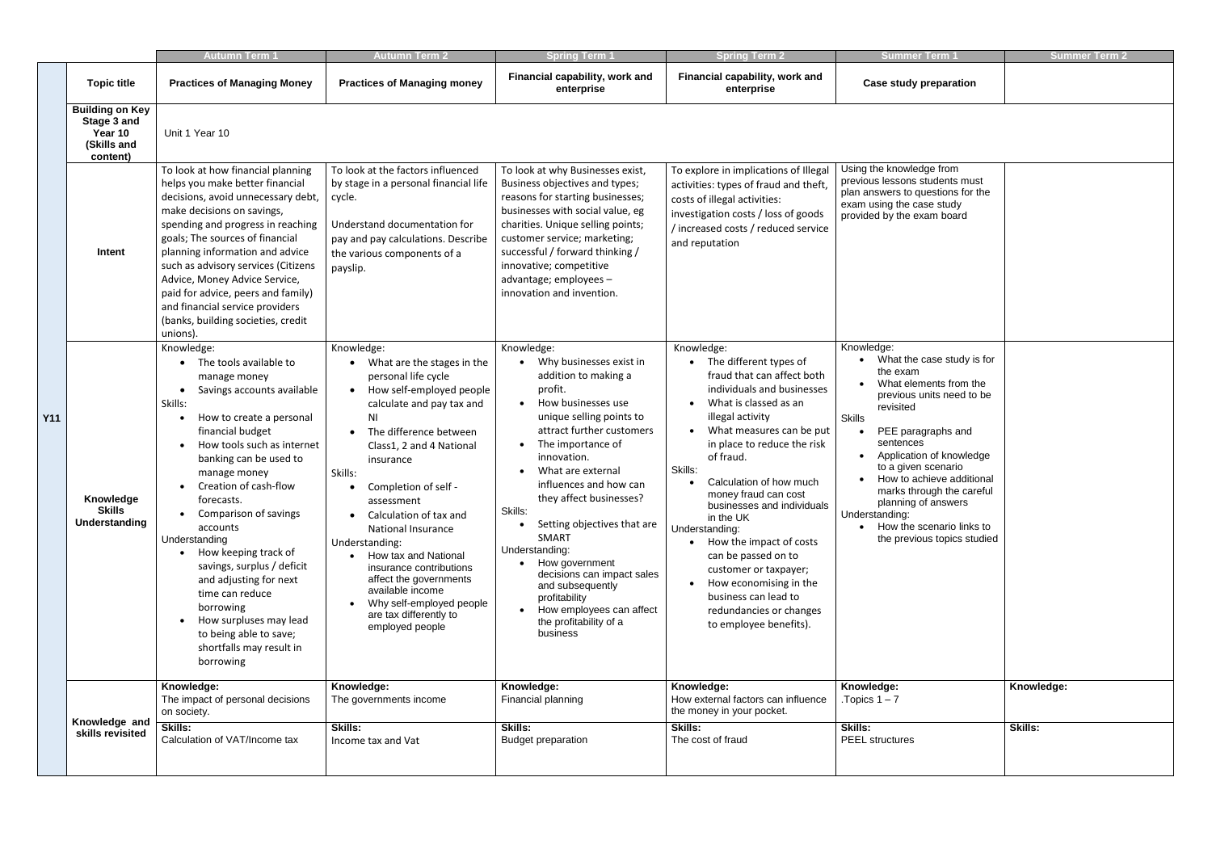|            |                                                                             | <b>Autumn Term 1</b>                                                                                                                                                                                                                                                                                                                                                                                                                                                                                                            | <b>Autumn Term 2</b>                                                                                                                                                                                                                                                                                                                                                                                                                                                                                                    | <b>Spring Term</b>                                                                                                                                                                                                                                                                                                                                                                                                                                                                                                      | <b>Spring Term 2</b>                                                                                                                                                                                                                                                                                                                                                                                                                                                                                                               | <b>Summer Term</b>                                                                                                                                                                                                                                                                                                                                                                                            | <b>Summer Term 2</b>         |
|------------|-----------------------------------------------------------------------------|---------------------------------------------------------------------------------------------------------------------------------------------------------------------------------------------------------------------------------------------------------------------------------------------------------------------------------------------------------------------------------------------------------------------------------------------------------------------------------------------------------------------------------|-------------------------------------------------------------------------------------------------------------------------------------------------------------------------------------------------------------------------------------------------------------------------------------------------------------------------------------------------------------------------------------------------------------------------------------------------------------------------------------------------------------------------|-------------------------------------------------------------------------------------------------------------------------------------------------------------------------------------------------------------------------------------------------------------------------------------------------------------------------------------------------------------------------------------------------------------------------------------------------------------------------------------------------------------------------|------------------------------------------------------------------------------------------------------------------------------------------------------------------------------------------------------------------------------------------------------------------------------------------------------------------------------------------------------------------------------------------------------------------------------------------------------------------------------------------------------------------------------------|---------------------------------------------------------------------------------------------------------------------------------------------------------------------------------------------------------------------------------------------------------------------------------------------------------------------------------------------------------------------------------------------------------------|------------------------------|
|            | <b>Topic title</b>                                                          | <b>Practices of Managing Money</b>                                                                                                                                                                                                                                                                                                                                                                                                                                                                                              | <b>Practices of Managing money</b>                                                                                                                                                                                                                                                                                                                                                                                                                                                                                      | Financial capability, work and<br>enterprise                                                                                                                                                                                                                                                                                                                                                                                                                                                                            | Financial capability, work and<br>enterprise                                                                                                                                                                                                                                                                                                                                                                                                                                                                                       | <b>Case study preparation</b>                                                                                                                                                                                                                                                                                                                                                                                 |                              |
|            | <b>Building on Key</b><br>Stage 3 and<br>Year 10<br>(Skills and<br>content) | Unit 1 Year 10                                                                                                                                                                                                                                                                                                                                                                                                                                                                                                                  |                                                                                                                                                                                                                                                                                                                                                                                                                                                                                                                         |                                                                                                                                                                                                                                                                                                                                                                                                                                                                                                                         |                                                                                                                                                                                                                                                                                                                                                                                                                                                                                                                                    |                                                                                                                                                                                                                                                                                                                                                                                                               |                              |
|            | Intent                                                                      | To look at how financial planning<br>helps you make better financial<br>decisions, avoid unnecessary debt,<br>make decisions on savings,<br>spending and progress in reaching<br>goals; The sources of financial<br>planning information and advice<br>such as advisory services (Citizens<br>Advice, Money Advice Service,<br>paid for advice, peers and family)<br>and financial service providers<br>(banks, building societies, credit<br>unions).                                                                          | To look at the factors influenced<br>by stage in a personal financial life<br>cycle.<br>Understand documentation for<br>pay and pay calculations. Describe<br>the various components of a<br>payslip.                                                                                                                                                                                                                                                                                                                   | To look at why Businesses exist,<br>Business objectives and types;<br>reasons for starting businesses;<br>businesses with social value, eg<br>charities. Unique selling points;<br>customer service; marketing;<br>successful / forward thinking /<br>innovative; competitive<br>advantage; employees -<br>innovation and invention.                                                                                                                                                                                    | To explore in implications of Illegal<br>activities: types of fraud and theft,<br>costs of illegal activities:<br>investigation costs / loss of goods<br>/ increased costs / reduced service<br>and reputation                                                                                                                                                                                                                                                                                                                     | Using the knowledge from<br>previous lessons students must<br>plan answers to questions for the<br>exam using the case study<br>provided by the exam board                                                                                                                                                                                                                                                    |                              |
| <b>Y11</b> | Knowledge<br><b>Skills</b><br>Understanding                                 | Knowledge:<br>The tools available to<br>manage money<br>Savings accounts available<br>Skills:<br>How to create a personal<br>financial budget<br>How tools such as internet<br>banking can be used to<br>manage money<br>Creation of cash-flow<br>forecasts.<br>Comparison of savings<br>accounts<br>Understanding<br>How keeping track of<br>savings, surplus / deficit<br>and adjusting for next<br>time can reduce<br>borrowing<br>How surpluses may lead<br>to being able to save;<br>shortfalls may result in<br>borrowing | Knowledge:<br>What are the stages in the<br>personal life cycle<br>How self-employed people<br>$\bullet$<br>calculate and pay tax and<br>N <sub>1</sub><br>The difference between<br>Class1, 2 and 4 National<br>insurance<br>Skills:<br>Completion of self -<br>assessment<br>Calculation of tax and<br>National Insurance<br>Understanding:<br>How tax and National<br>insurance contributions<br>affect the governments<br>available income<br>Why self-employed people<br>are tax differently to<br>employed people | Knowledge:<br>Why businesses exist in<br>$\bullet$<br>addition to making a<br>profit.<br>How businesses use<br>unique selling points to<br>attract further customers<br>The importance of<br>innovation.<br>What are external<br>influences and how can<br>they affect businesses?<br>Skills:<br>Setting objectives that are<br><b>SMART</b><br>Understanding:<br>• How government<br>decisions can impact sales<br>and subsequently<br>profitability<br>How employees can affect<br>the profitability of a<br>business | Knowledge:<br>The different types of<br>fraud that can affect both<br>individuals and businesses<br>What is classed as an<br>illegal activity<br>What measures can be put<br>in place to reduce the risk<br>of fraud.<br>Skills:<br>Calculation of how much<br>money fraud can cost<br>businesses and individuals<br>in the UK<br>Understanding:<br>How the impact of costs<br>can be passed on to<br>customer or taxpayer;<br>How economising in the<br>business can lead to<br>redundancies or changes<br>to employee benefits). | Knowledge:<br>What the case study is for<br>the exam<br>What elements from the<br>$\bullet$<br>previous units need to be<br>revisited<br><b>Skills</b><br>PEE paragraphs and<br>sentences<br>Application of knowledge<br>to a given scenario<br>How to achieve additional<br>marks through the careful<br>planning of answers<br>Understanding:<br>• How the scenario links to<br>the previous topics studied |                              |
|            | Knowledge and<br>skills revisited                                           | Knowledge:<br>The impact of personal decisions<br>on society.<br>Skills:<br>Calculation of VAT/Income tax                                                                                                                                                                                                                                                                                                                                                                                                                       | Knowledge:<br>The governments income<br><b>Skills:</b><br>Income tax and Vat                                                                                                                                                                                                                                                                                                                                                                                                                                            | Knowledge:<br>Financial planning<br><b>Skills:</b><br><b>Budget preparation</b>                                                                                                                                                                                                                                                                                                                                                                                                                                         | Knowledge:<br>How external factors can influence<br>the money in your pocket.<br>Skills:<br>The cost of fraud                                                                                                                                                                                                                                                                                                                                                                                                                      | Knowledge:<br>. Topics $1 - 7$<br>Skills:<br><b>PEEL</b> structures                                                                                                                                                                                                                                                                                                                                           | Knowledge:<br><b>Skills:</b> |
|            |                                                                             |                                                                                                                                                                                                                                                                                                                                                                                                                                                                                                                                 |                                                                                                                                                                                                                                                                                                                                                                                                                                                                                                                         |                                                                                                                                                                                                                                                                                                                                                                                                                                                                                                                         |                                                                                                                                                                                                                                                                                                                                                                                                                                                                                                                                    |                                                                                                                                                                                                                                                                                                                                                                                                               |                              |

| Summer Term                                                                                                                                                                                                                                                                                                                                                                                                 | Summer Term 2 |
|-------------------------------------------------------------------------------------------------------------------------------------------------------------------------------------------------------------------------------------------------------------------------------------------------------------------------------------------------------------------------------------------------------------|---------------|
| <b>Case study preparation</b>                                                                                                                                                                                                                                                                                                                                                                               |               |
|                                                                                                                                                                                                                                                                                                                                                                                                             |               |
| Using the knowledge from<br>previous lessons students must<br>plan answers to questions for the<br>exam using the case study<br>provided by the exam board                                                                                                                                                                                                                                                  |               |
| Knowledge:<br>What the case study is for<br>the exam<br>What elements from the<br>previous units need to be<br>revisited<br><b>Skills</b><br>PEE paragraphs and<br>$\bullet$<br>sentences<br>Application of knowledge<br>to a given scenario<br>How to achieve additional<br>marks through the careful<br>planning of answers<br>Understanding:<br>How the scenario links to<br>the previous topics studied |               |
| Knowledge:<br>Topics $1 - 7$                                                                                                                                                                                                                                                                                                                                                                                | Knowledge:    |
| Skills:<br><b>PEEL</b> structures                                                                                                                                                                                                                                                                                                                                                                           | Skills:       |